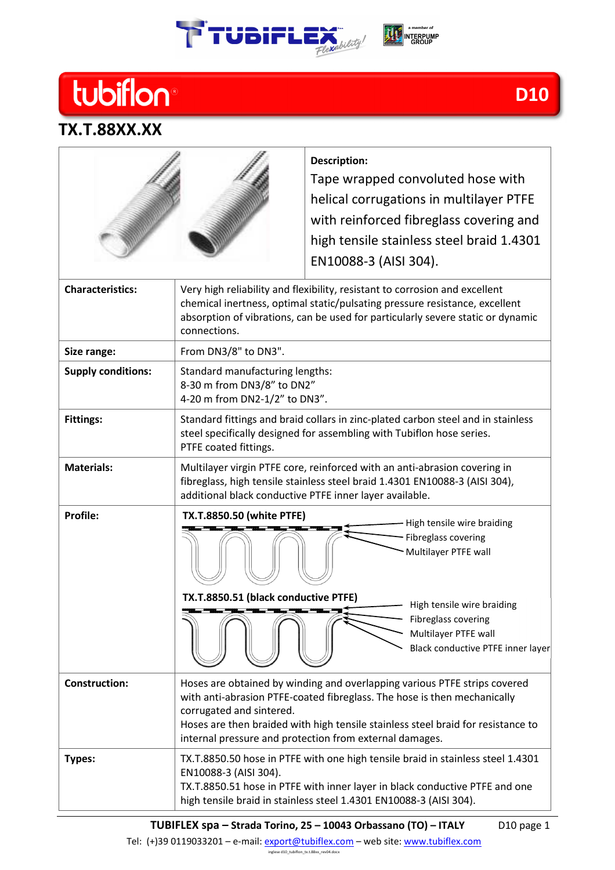





**TX.T.88XX.XX** 

## **D10**

## **Description:**  Tape wrapped convoluted hose with helical corrugations in multilayer PTFE with reinforced fibreglass covering and high tensile stainless steel braid 1.4301 EN10088-3 (AISI 304). **Characteristics:** Very high reliability and flexibility, resistant to corrosion and excellent chemical inertness, optimal static/pulsating pressure resistance, excellent absorption of vibrations, can be used for particularly severe static or dynamic connections. Size range:  $\vert$  From DN3/8" to DN3". **Supply conditions:** Standard manufacturing lengths: 8-30 m from DN3/8" to DN2" 4-20 m from DN2-1/2" to DN3". **Fittings:** Standard fittings and braid collars in zinc-plated carbon steel and in stainless steel specifically designed for assembling with Tubiflon hose series. PTFE coated fittings. **Materials:** Multilayer virgin PTFE core, reinforced with an anti-abrasion covering in fibreglass, high tensile stainless steel braid 1.4301 EN10088-3 (AISI 304), additional black conductive PTFE inner layer available. **Profile: Construction:** Hoses are obtained by winding and overlapping various PTFE strips covered with anti-abrasion PTFE-coated fibreglass. The hose is then mechanically corrugated and sintered. Hoses are then braided with high tensile stainless steel braid for resistance to internal pressure and protection from external damages. **Types:** TX.T.8850.50 hose in PTFE with one high tensile braid in stainless steel 1.4301 EN10088-3 (AISI 304). - High tensile wire braiding - Fibreglass covering Multilayer PTFE wall High tensile wire braiding Fibreglass covering Multilayer PTFE wall Black conductive PTFE inner layer **TX.T.8850.50 (white PTFE) TX.T.8850.51 (black conductive PTFE)**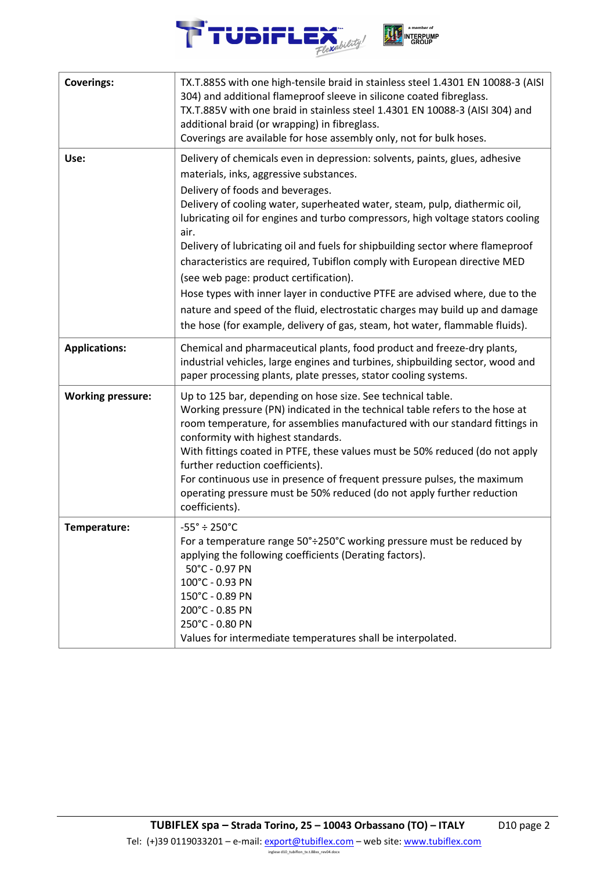

| <b>Coverings:</b>        | TX.T.885S with one high-tensile braid in stainless steel 1.4301 EN 10088-3 (AISI<br>304) and additional flameproof sleeve in silicone coated fibreglass.<br>TX.T.885V with one braid in stainless steel 1.4301 EN 10088-3 (AISI 304) and<br>additional braid (or wrapping) in fibreglass.<br>Coverings are available for hose assembly only, not for bulk hoses.                                                                                                                                                                                                                                                                                                                                                                                                                             |
|--------------------------|----------------------------------------------------------------------------------------------------------------------------------------------------------------------------------------------------------------------------------------------------------------------------------------------------------------------------------------------------------------------------------------------------------------------------------------------------------------------------------------------------------------------------------------------------------------------------------------------------------------------------------------------------------------------------------------------------------------------------------------------------------------------------------------------|
| Use:                     | Delivery of chemicals even in depression: solvents, paints, glues, adhesive<br>materials, inks, aggressive substances.<br>Delivery of foods and beverages.<br>Delivery of cooling water, superheated water, steam, pulp, diathermic oil,<br>lubricating oil for engines and turbo compressors, high voltage stators cooling<br>air.<br>Delivery of lubricating oil and fuels for shipbuilding sector where flameproof<br>characteristics are required, Tubiflon comply with European directive MED<br>(see web page: product certification).<br>Hose types with inner layer in conductive PTFE are advised where, due to the<br>nature and speed of the fluid, electrostatic charges may build up and damage<br>the hose (for example, delivery of gas, steam, hot water, flammable fluids). |
| <b>Applications:</b>     | Chemical and pharmaceutical plants, food product and freeze-dry plants,<br>industrial vehicles, large engines and turbines, shipbuilding sector, wood and<br>paper processing plants, plate presses, stator cooling systems.                                                                                                                                                                                                                                                                                                                                                                                                                                                                                                                                                                 |
| <b>Working pressure:</b> | Up to 125 bar, depending on hose size. See technical table.<br>Working pressure (PN) indicated in the technical table refers to the hose at<br>room temperature, for assemblies manufactured with our standard fittings in<br>conformity with highest standards.<br>With fittings coated in PTFE, these values must be 50% reduced (do not apply<br>further reduction coefficients).<br>For continuous use in presence of frequent pressure pulses, the maximum<br>operating pressure must be 50% reduced (do not apply further reduction<br>coefficients).                                                                                                                                                                                                                                  |
| Temperature:             | $-55^{\circ} \div 250^{\circ}$ C<br>For a temperature range 50°÷250°C working pressure must be reduced by<br>applying the following coefficients (Derating factors).<br>50°C - 0.97 PN<br>100°C - 0.93 PN<br>150°C - 0.89 PN<br>200°C - 0.85 PN<br>250°C - 0.80 PN<br>Values for intermediate temperatures shall be interpolated.                                                                                                                                                                                                                                                                                                                                                                                                                                                            |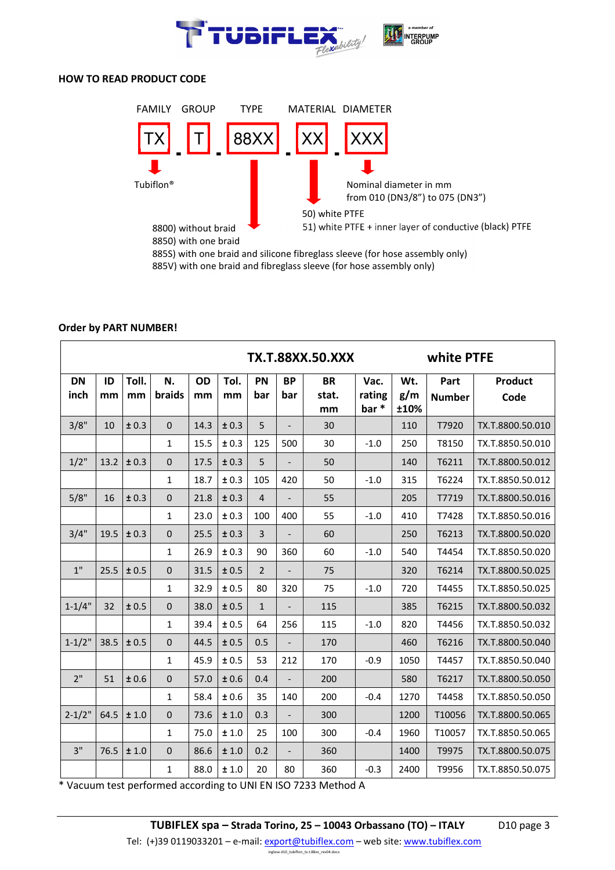

## **HOW TO READ PRODUCT CODE**



885S) with one braid and silicone fibreglass sleeve (for hose assembly only)

885V) with one braid and fibreglass sleeve (for hose assembly only)

|                   | <b>TX.T.88XX.50.XXX</b> |             |              |          |            |                  |                          |                          |                        | white PTFE         |                       |                        |  |
|-------------------|-------------------------|-------------|--------------|----------|------------|------------------|--------------------------|--------------------------|------------------------|--------------------|-----------------------|------------------------|--|
| <b>DN</b><br>inch | ID<br>mm                | Toll.<br>mm | N.<br>braids | OD<br>mm | Tol.<br>mm | <b>PN</b><br>bar | <b>BP</b><br>bar         | <b>BR</b><br>stat.<br>mm | Vac.<br>rating<br>bar* | Wt.<br>g/m<br>±10% | Part<br><b>Number</b> | <b>Product</b><br>Code |  |
| 3/8"              | 10                      | ± 0.3       | $\mathbf 0$  | 14.3     | ± 0.3      | 5                |                          | 30                       |                        | 110                | T7920                 | TX.T.8800.50.010       |  |
|                   |                         |             | 1            | 15.5     | ± 0.3      | 125              | 500                      | 30                       | $-1.0$                 | 250                | T8150                 | TX.T.8850.50.010       |  |
| $1/2$ "           | 13.2                    | ± 0.3       | 0            | 17.5     | ± 0.3      | 5                |                          | 50                       |                        | 140                | T6211                 | TX.T.8800.50.012       |  |
|                   |                         |             | 1            | 18.7     | ± 0.3      | 105              | 420                      | 50                       | $-1.0$                 | 315                | T6224                 | TX.T.8850.50.012       |  |
| 5/8"              | 16                      | ± 0.3       | 0            | 21.8     | ± 0.3      | $\overline{4}$   | $\overline{a}$           | 55                       |                        | 205                | T7719                 | TX.T.8800.50.016       |  |
|                   |                         |             | 1            | 23.0     | ± 0.3      | 100              | 400                      | 55                       | $-1.0$                 | 410                | T7428                 | TX.T.8850.50.016       |  |
| 3/4"              | 19.5                    | ± 0.3       | $\pmb{0}$    | 25.5     | ± 0.3      | 3                | $\overline{\phantom{0}}$ | 60                       |                        | 250                | T6213                 | TX.T.8800.50.020       |  |
|                   |                         |             | 1            | 26.9     | ± 0.3      | 90               | 360                      | 60                       | $-1.0$                 | 540                | T4454                 | TX.T.8850.50.020       |  |
| 1"                | 25.5                    | ± 0.5       | $\mathbf 0$  | 31.5     | ± 0.5      | $\overline{2}$   | $\overline{a}$           | 75                       |                        | 320                | T6214                 | TX.T.8800.50.025       |  |
|                   |                         |             | $\mathbf{1}$ | 32.9     | ± 0.5      | 80               | 320                      | 75                       | $-1.0$                 | 720                | T4455                 | TX.T.8850.50.025       |  |
| $1 - 1/4"$        | 32                      | ± 0.5       | 0            | 38.0     | ± 0.5      | $\mathbf{1}$     | $\overline{a}$           | 115                      |                        | 385                | T6215                 | TX.T.8800.50.032       |  |
|                   |                         |             | 1            | 39.4     | ± 0.5      | 64               | 256                      | 115                      | $-1.0$                 | 820                | T4456                 | TX.T.8850.50.032       |  |
| $1 - 1/2"$        | 38.5                    | ± 0.5       | 0            | 44.5     | ± 0.5      | 0.5              | $\overline{\phantom{0}}$ | 170                      |                        | 460                | T6216                 | TX.T.8800.50.040       |  |
|                   |                         |             | 1            | 45.9     | ± 0.5      | 53               | 212                      | 170                      | $-0.9$                 | 1050               | T4457                 | TX.T.8850.50.040       |  |
| 2"                | 51                      | ± 0.6       | 0            | 57.0     | ± 0.6      | 0.4              | $\overline{\phantom{a}}$ | 200                      |                        | 580                | T6217                 | TX.T.8800.50.050       |  |
|                   |                         |             | 1            | 58.4     | ±0.6       | 35               | 140                      | 200                      | $-0.4$                 | 1270               | T4458                 | TX.T.8850.50.050       |  |
| $2 - 1/2"$        | 64.5                    | ±1.0        | $\pmb{0}$    | 73.6     | ±1.0       | 0.3              | $\overline{a}$           | 300                      |                        | 1200               | T10056                | TX.T.8800.50.065       |  |
|                   |                         |             | 1            | 75.0     | ±1.0       | 25               | 100                      | 300                      | $-0.4$                 | 1960               | T10057                | TX.T.8850.50.065       |  |
| 3"                | 76.5                    | ±1.0        | $\pmb{0}$    | 86.6     | $\pm$ 1.0  | 0.2              |                          | 360                      |                        | 1400               | T9975                 | TX.T.8800.50.075       |  |
|                   |                         |             | 1            | 88.0     | ±1.0       | 20               | 80                       | 360                      | $-0.3$                 | 2400               | T9956                 | TX.T.8850.50.075       |  |

## **Order by PART NUMBER!**

\* Vacuum test performed according to UNI EN ISO 7233 Method A